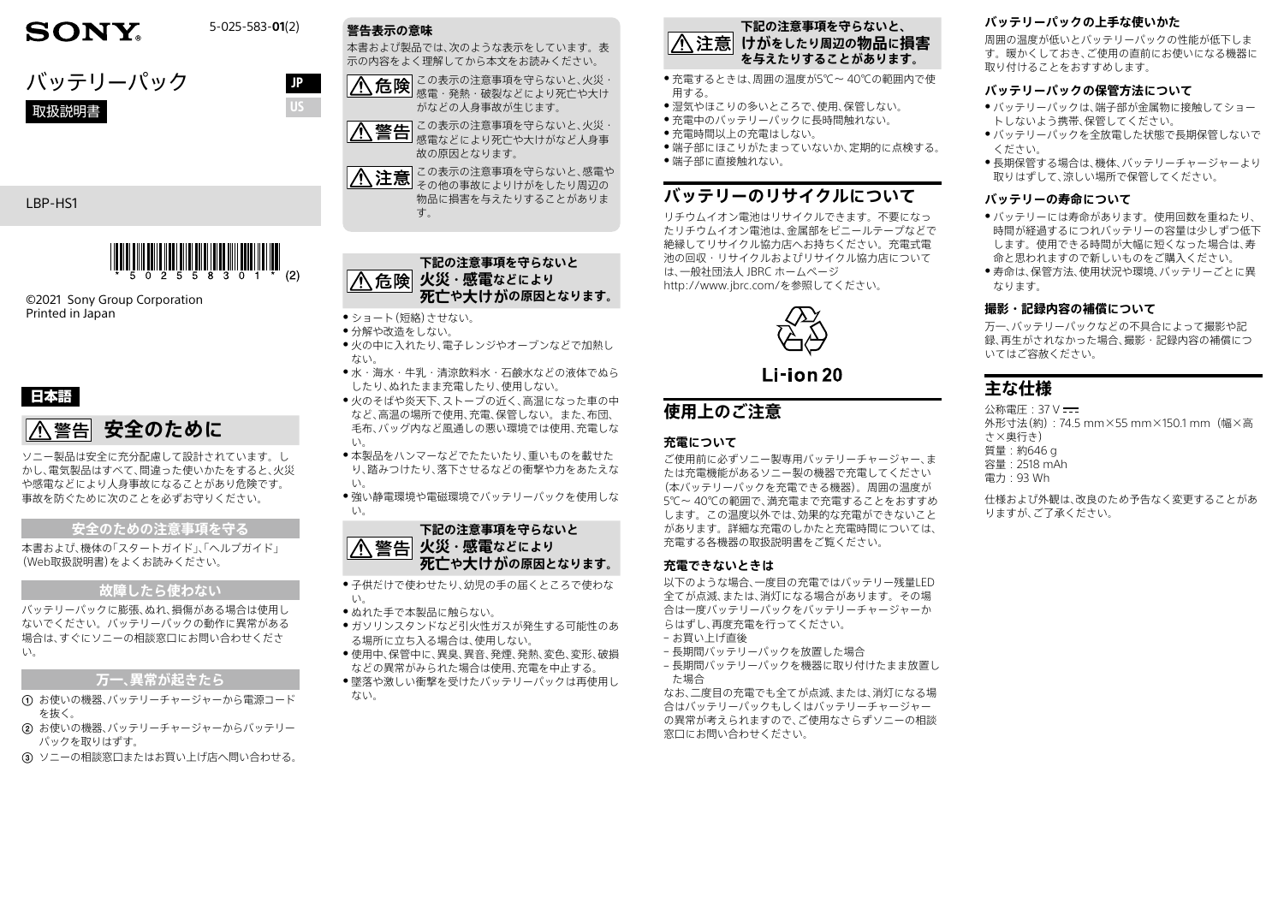# **SONY.**

5-025-583-**01**(2)

JP



### LBP-HS1



©2021 Sony Group Corporation Printed in Japan

### 日本語

# **八警告 安全のために**

ソニー製品は安全に充分配慮して設計されています。し かし、電気製品はすべて、間違った使いかたをすると、火災 や感電などにより人身事故になることがあり危険です。 事故を防ぐために次のことを必ずお守りください。

### **安全のための注意事項を守る**

本書および、機体の「スタートガイド」、「ヘルプガイド」 (Web取扱説明書)をよくお読みください。

### **故障したら使わない**

バッテリーパックに膨張、ぬれ、損傷がある場合は使用し ないでください。バッテリーパックの動作に異常がある 場合は、すぐにソニーの相談窓口にお問い合わせくださ い。

### **万一、異常が起きたら**

- お使いの機器、バッテリーチャージャーから電源コード を抜く。
- お使いの機器、バッテリーチャージャーからバッテリー パックを取りはずす。

 ソニーの相談窓口またはお買い上げ店へ問い合わせる。



本書および製品では、次のような表示をしています。表 示の内容をよく理解してから本文をお読みください。

∕∿ この表示の注意事項を守らないと、火災・ 感電・発熱・破裂などにより死亡や大け がなどの人身事故が生じます。

この表示の注意事項を守らないと、火災・ 感電などにより死亡や大けがなど人身事 故の原因となります。

この表示の注意事項を守らないと、感電や 八 その他の事故によりけがをしたり周辺の 物品に損害を与えたりすることがありま す。

### **下記の注意事項を守らないと 八 危険 火災・感電などにより 死亡や大けがの原因となります。**

● ショート(短絡)させない。

- 分解や改造をしない。
- 火の中に入れたり、雷子レンジやオーブンなどで加熱し ない。
	- 水・海水・牛乳・清涼飲料水・石鹸水などの液体でぬら したり、ぬれたまま充電したり、使用しない。
	- 火のそばや炎天下、ストーブの近く、高温になった車の中 など、高温の場所で使用、充電、保管しない。また、布団、 毛布、バッグ内など風通しの悪い環境では使用、充電しな い。
	- ●本製品をハンマーなどでたたいたり、重いものを載せた り、踏みつけたり、落下させるなどの衝撃や力をあたえな い。
	- ●強い静電環境や電磁環境でバッテリーパックを使用しな い。



- 子供だけで使わせたり、幼児の手の届くところで使わな **エン**
- ˎ ぬれた手で本製品に触らない。
- ガソリンスタンドなど引火性ガスが発生する可能性のあ る場所に立ち入る場合は、使用しない。
- 使用中、保管中に、異臭、異音、発煙、発熱、変色、変形、破損 などの異常がみられた場合は使用、充電を中止する。
- ●墜落や激しい衝撃を受けたバッテリーパックは再使用し ない。

#### **下記の注意事項を守らないと、 けがをしたり周辺の物品に損害 を与えたりすることがあります。**

- 充雷するときは、周囲の温度が5℃~ 40℃の範囲内で使 用する。
- 湿気やほこりの多いところで、使用、保管しない。
- 充電中のバッテリーパックに長時間触れない。
- 充電時間以上の充電はしない。
- ●端子部にほこりがたまっていないか、定期的に点検する。 ●端子部に直接触れない。

# **バッテリーのリサイクルについて**

リチウムイオン電池はリサイクルできます。不要になっ たリチウムイオン電池は、金属部をビニールテープなどで 絶縁してリサイクル協力店へお持ちください。充電式電 池の回収・リサイクルおよびリサイクル協力店について は、一般社団法人 JBRC ホームページ [http://www.jbrc.com/を](http://www.jbrc.com/)参照してください。



 $L$ i-ion 20

# **使用上のご注意**

### **充電について**

ご使用前に必ずソニー製専用バッテリーチャージャー、ま たは充電機能があるソニー製の機器で充電してください (本バッテリーパックを充電できる機器)。周囲の温度が 5℃~ 40℃の範囲で、満充電まで充電することをおすすめ します。この温度以外では、効果的な充電ができないこと があります。詳細な充電のしかたと充電時間については、 充電する各機器の取扱説明書をご覧ください。

### **充電できないときは**

以下のような場合、一度目の充電ではバッテリー残量LED 全てが点滅、または、消灯になる場合があります。その場 合は一度バッテリーパックをバッテリーチャージャーか らはずし、再度充電を行ってください。

- お買い上げ直後
- 長期間バッテリーパックを放置した場合
- 長期間バッテリーパックを機器に取り付けたまま放置し た場合

なお、二度目の充電でも全てが点滅、または、消灯になる場 合はバッテリーパックもしくはバッテリーチャージャー の異常が考えられますので、ご使用なさらずソニーの相談 窓口にお問い合わせください。

### **バッテリーパックの上手な使いかた**

周囲の温度が低いとバッテリーパックの性能が低下しま す。暖かくしておき、ご使用の直前にお使いになる機器に 取り付けることをおすすめします。

### **バッテリーパックの保管方法について**

- バッテリーパックは、端子部が金属物に接触してショー トしないよう携帯、保管してください。
- バッテリーパックを全放電した状態で長期保管しないで ください。
- 長期保管する場合は、機体、バッテリーチャージャーより 取りはずして、涼しい場所で保管してください。

### **バッテリーの寿命について**

- バッテリーには寿命があります。使用回数を重ねたり、 時間が経過するにつれバッテリーの容量は少しずつ低下 します。使用できる時間が大幅に短くなった場合は、寿 命と思われますので新しいものをご購入ください。
- 寿命は、保管方法、使用状況や環境、バッテリーごとに異 なります。

### **撮影・記録内容の補償について**

万一、バッテリーパックなどの不具合によって撮影や記 録、再生がされなかった場合、撮影・記録内容の補償につ いてはご容赦ください。

# **主な仕様**

公称電圧:37 V 外形寸法(約):74.5 mm×55 mm×150.1 mm(幅×高 さ×奥行き) 質量:約646 g 容量:2518 mAh 電力:93 Wh

仕様および外観は、改良のため予告なく変更することがあ りますが、ご了承ください。